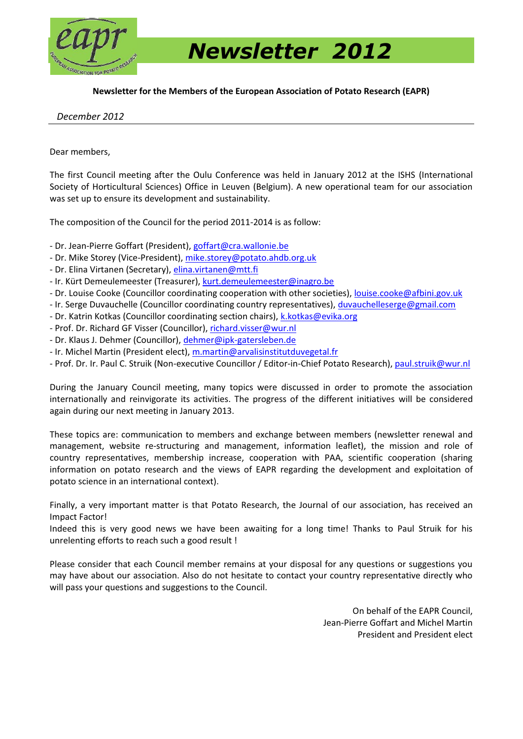

 *Newsletter 2012* 

**Newsletter for the Members of the European Association of Potato Research (EAPR)** 

 *December 2012* 

Dear members,

The first Council meeting after the Oulu Conference was held in January 2012 at the ISHS (International Society of Horticultural Sciences) Office in Leuven (Belgium). A new operational team for our association was set up to ensure its development and sustainability.

The composition of the Council for the period 2011-2014 is as follow:

- Dr. Jean-Pierre Goffart (President), goffart@cra.wallonie.be

- Dr. Mike Storey (Vice-President), mike.storey@potato.ahdb.org.uk
- Dr. Elina Virtanen (Secretary), elina.virtanen@mtt.fi

- Ir. Kürt Demeulemeester (Treasurer), kurt.demeulemeester@inagro.be

- Dr. Louise Cooke (Councillor coordinating cooperation with other societies), louise.cooke@afbini.gov.uk

- Ir. Serge Duvauchelle (Councillor coordinating country representatives), duvauchelleserge@gmail.com
- Dr. Katrin Kotkas (Councillor coordinating section chairs), k.kotkas@evika.org
- Prof. Dr. Richard GF Visser (Councillor), richard.visser@wur.nl
- Dr. Klaus J. Dehmer (Councillor), dehmer@ipk-gatersleben.de

- Ir. Michel Martin (President elect), m.martin@arvalisinstitutduvegetal.fr

- Prof. Dr. Ir. Paul C. Struik (Non-executive Councillor / Editor-in-Chief Potato Research), paul.struik@wur.nl

During the January Council meeting, many topics were discussed in order to promote the association internationally and reinvigorate its activities. The progress of the different initiatives will be considered again during our next meeting in January 2013.

These topics are: communication to members and exchange between members (newsletter renewal and management, website re-structuring and management, information leaflet), the mission and role of country representatives, membership increase, cooperation with PAA, scientific cooperation (sharing information on potato research and the views of EAPR regarding the development and exploitation of potato science in an international context).

Finally, a very important matter is that Potato Research, the Journal of our association, has received an Impact Factor!

Indeed this is very good news we have been awaiting for a long time! Thanks to Paul Struik for his unrelenting efforts to reach such a good result !

Please consider that each Council member remains at your disposal for any questions or suggestions you may have about our association. Also do not hesitate to contact your country representative directly who will pass your questions and suggestions to the Council.

> On behalf of the EAPR Council, Jean-Pierre Goffart and Michel Martin President and President elect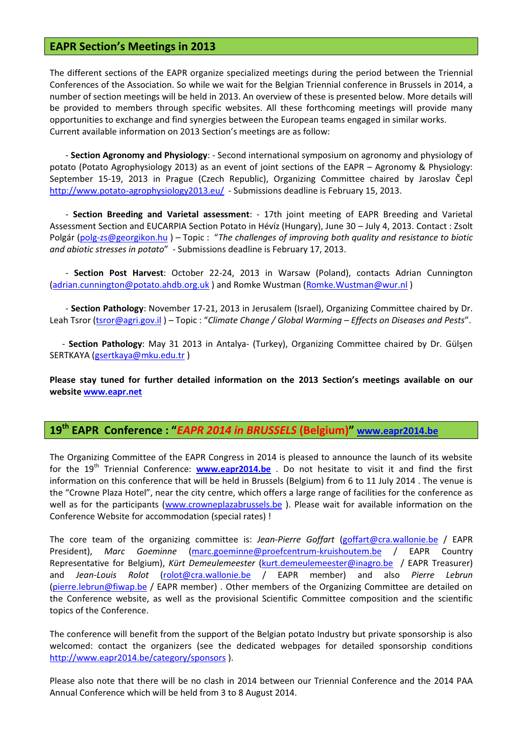### **EAPR Section's Meetings in 2013**

The different sections of the EAPR organize specialized meetings during the period between the Triennial Conferences of the Association. So while we wait for the Belgian Triennial conference in Brussels in 2014, a number of section meetings will be held in 2013. An overview of these is presented below. More details will be provided to members through specific websites. All these forthcoming meetings will provide many opportunities to exchange and find synergies between the European teams engaged in similar works. Current available information on 2013 Section's meetings are as follow:

- **Section Agronomy and Physiology**: - Second international symposium on agronomy and physiology of potato (Potato Agrophysiology 2013) as an event of joint sections of the EAPR – Agronomy & Physiology: September 15-19, 2013 in Prague (Czech Republic), Organizing Committee chaired by Jaroslav Čepl http://www.potato-agrophysiology2013.eu/ - Submissions deadline is February 15, 2013.

- **Section Breeding and Varietal assessment**: - 17th joint meeting of EAPR Breeding and Varietal Assessment Section and EUCARPIA Section Potato in Hévíz (Hungary), June 30 – July 4, 2013. Contact : Zsolt Polgár (polg-zs@georgikon.hu ) – Topic : "*The challenges of improving both quality and resistance to biotic and abiotic stresses in potato*" - Submissions deadline is February 17, 2013.

- **Section Post Harvest**: October 22-24, 2013 in Warsaw (Poland), contacts Adrian Cunnington (adrian.cunnington@potato.ahdb.org.uk ) and Romke Wustman (Romke.Wustman@wur.nl )

- **Section Pathology**: November 17-21, 2013 in Jerusalem (Israel), Organizing Committee chaired by Dr. Leah Tsror (tsror@agri.gov.il ) – Topic : "*Climate Change / Global Warming – Effects on Diseases and Pests*".

- **Section Pathology**: May 31 2013 in Antalya- (Turkey), Organizing Committee chaired by Dr. Gülşen SERTKAYA (gsertkaya@mku.edu.tr )

**Please stay tuned for further detailed information on the 2013 Section's meetings available on our website www.eapr.net** 

## **19th EAPR Conference : "***EAPR 2014 in BRUSSELS* **(Belgium)" www.eapr2014.be**

The Organizing Committee of the EAPR Congress in 2014 is pleased to announce the launch of its website for the 19<sup>th</sup> Triennial Conference: **www.eapr2014.be** . Do not hesitate to visit it and find the first information on this conference that will be held in Brussels (Belgium) from 6 to 11 July 2014 . The venue is the "Crowne Plaza Hotel", near the city centre, which offers a large range of facilities for the conference as well as for the participants (www.crowneplazabrussels.be). Please wait for available information on the Conference Website for accommodation (special rates) !

The core team of the organizing committee is: *Jean-Pierre Goffart* (goffart@cra.wallonie.be / EAPR President), *Marc Goeminne* (marc.goeminne@proefcentrum-kruishoutem.be / EAPR Country Representative for Belgium), *Kürt Demeulemeester* (kurt.demeulemeester@inagro.be / EAPR Treasurer) and *Jean-Louis Rolot* (rolot@cra.wallonie.be / EAPR member) and also *Pierre Lebrun* (pierre.lebrun@fiwap.be / EAPR member) . Other members of the Organizing Committee are detailed on the Conference website, as well as the provisional Scientific Committee composition and the scientific topics of the Conference.

The conference will benefit from the support of the Belgian potato Industry but private sponsorship is also welcomed: contact the organizers (see the dedicated webpages for detailed sponsorship conditions http://www.eapr2014.be/category/sponsors ).

Please also note that there will be no clash in 2014 between our Triennial Conference and the 2014 PAA Annual Conference which will be held from 3 to 8 August 2014.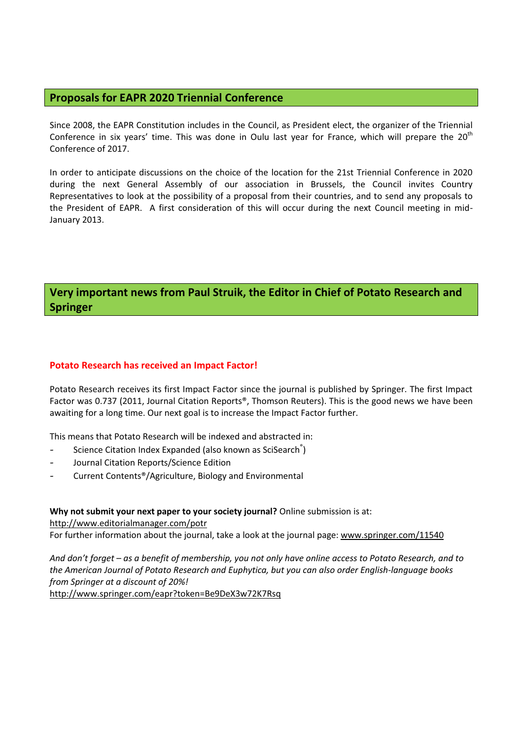## **Proposals for EAPR 2020 Triennial Conference**

Since 2008, the EAPR Constitution includes in the Council, as President elect, the organizer of the Triennial Conference in six years' time. This was done in Oulu last year for France, which will prepare the 20<sup>th</sup> Conference of 2017.

In order to anticipate discussions on the choice of the location for the 21st Triennial Conference in 2020 during the next General Assembly of our association in Brussels, the Council invites Country Representatives to look at the possibility of a proposal from their countries, and to send any proposals to the President of EAPR. A first consideration of this will occur during the next Council meeting in mid-January 2013.

## **Very important news from Paul Struik, the Editor in Chief of Potato Research and Springer**

#### **Potato Research has received an Impact Factor!**

Potato Research receives its first Impact Factor since the journal is published by Springer. The first Impact Factor was 0.737 (2011, Journal Citation Reports®, Thomson Reuters). This is the good news we have been awaiting for a long time. Our next goal is to increase the Impact Factor further.

This means that Potato Research will be indexed and abstracted in:

- Science Citation Index Expanded (also known as SciSearch<sup>®</sup>)
- Journal Citation Reports/Science Edition
- Current Contents®/Agriculture, Biology and Environmental

#### **Why not submit your next paper to your society journal?** Online submission is at:

http://www.editorialmanager.com/potr

For further information about the journal, take a look at the journal page: www.springer.com/11540

*And don't forget – as a benefit of membership, you not only have online access to Potato Research, and to the American Journal of Potato Research and Euphytica, but you can also order English-language books from Springer at a discount of 20%!* 

http://www.springer.com/eapr?token=Be9DeX3w72K7Rsq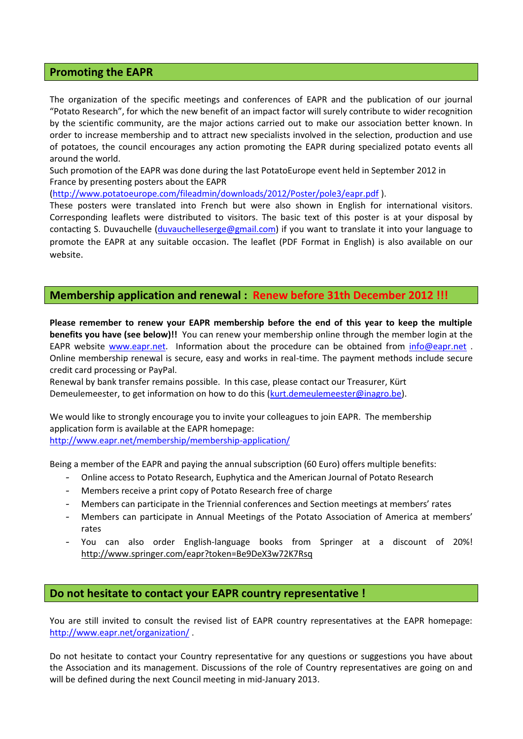#### **Promoting the EAPR**

The organization of the specific meetings and conferences of EAPR and the publication of our journal "Potato Research", for which the new benefit of an impact factor will surely contribute to wider recognition by the scientific community, are the major actions carried out to make our association better known. In order to increase membership and to attract new specialists involved in the selection, production and use of potatoes, the council encourages any action promoting the EAPR during specialized potato events all around the world.

Such promotion of the EAPR was done during the last PotatoEurope event held in September 2012 in France by presenting posters about the EAPR

(http://www.potatoeurope.com/fileadmin/downloads/2012/Poster/pole3/eapr.pdf ).

These posters were translated into French but were also shown in English for international visitors. Corresponding leaflets were distributed to visitors. The basic text of this poster is at your disposal by contacting S. Duvauchelle (duvauchelleserge@gmail.com) if you want to translate it into your language to promote the EAPR at any suitable occasion. The leaflet (PDF Format in English) is also available on our website.

### **Membership application and renewal : Renew before 31th December 2012 !!!**

**Please remember to renew your EAPR membership before the end of this year to keep the multiple benefits you have (see below)!!** You can renew your membership online through the member login at the EAPR website www.eapr.net. Information about the procedure can be obtained from info@eapr.net. Online membership renewal is secure, easy and works in real-time. The payment methods include secure credit card processing or PayPal.

Renewal by bank transfer remains possible. In this case, please contact our Treasurer, Kürt Demeulemeester, to get information on how to do this (kurt.demeulemeester@inagro.be).

We would like to strongly encourage you to invite your colleagues to join EAPR. The membership application form is available at the EAPR homepage:

http://www.eapr.net/membership/membership-application/

Being a member of the EAPR and paying the annual subscription (60 Euro) offers multiple benefits:

- Online access to Potato Research, Euphytica and the American Journal of Potato Research
- Members receive a print copy of Potato Research free of charge
- Members can participate in the Triennial conferences and Section meetings at members' rates
- Members can participate in Annual Meetings of the Potato Association of America at members' rates
- You can also order English-language books from Springer at a discount of 20%! http://www.springer.com/eapr?token=Be9DeX3w72K7Rsq

#### **Do not hesitate to contact your EAPR country representative !**

You are still invited to consult the revised list of EAPR country representatives at the EAPR homepage: http://www.eapr.net/organization/ .

Do not hesitate to contact your Country representative for any questions or suggestions you have about the Association and its management. Discussions of the role of Country representatives are going on and will be defined during the next Council meeting in mid-January 2013.